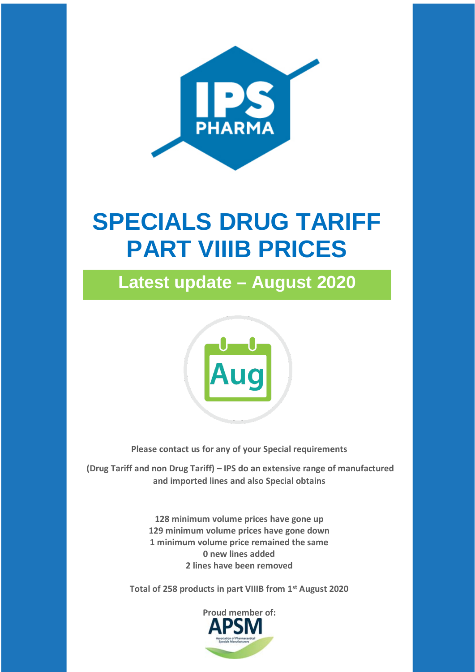

# **SPECIALS DRUG TARIFF PART VIIIB PRICES**

**Latest update – August 2020**



**Please contact us for any of your Special requirements**

**(Drug Tariff and non Drug Tariff) – IPS do an extensive range of manufactured and imported lines and also Special obtains**

> **128 minimum volume prices have gone up 129 minimum volume prices have gone down 1 minimum volume price remained the same 0 new lines added 2 lines have been removed**

**Total of 258 products in part VIIIB from 1st August 2020**

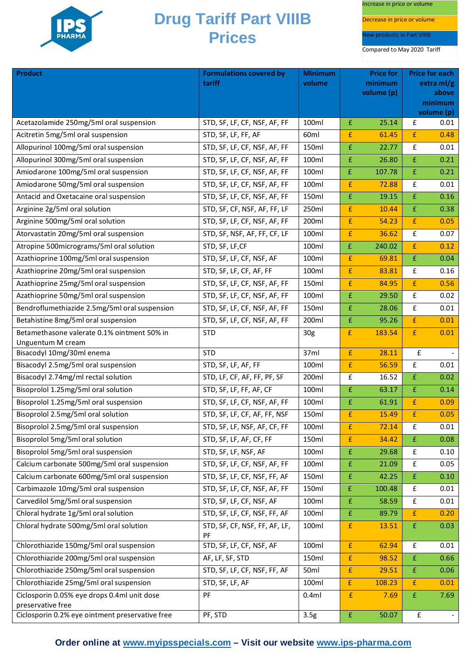

Increase in price or volume

Decrease in price or volume

New products in Part VIIIB

| <b>Product</b>                                                       | <b>Formulations covered by</b><br>tariff | <b>Minimum</b><br>volume | <b>Price for</b><br>minimum |            | <b>Price for each</b><br>extra $ml/g$ |            |
|----------------------------------------------------------------------|------------------------------------------|--------------------------|-----------------------------|------------|---------------------------------------|------------|
|                                                                      |                                          |                          |                             | volume (p) |                                       | above      |
|                                                                      |                                          |                          |                             |            |                                       | minimum    |
|                                                                      |                                          |                          |                             |            |                                       | volume (p) |
| Acetazolamide 250mg/5ml oral suspension                              | STD, SF, LF, CF, NSF, AF, FF             | 100ml                    | £                           | 25.14      | £                                     | 0.01       |
| Acitretin 5mg/5ml oral suspension                                    | STD, SF, LF, FF, AF                      | 60ml                     | $\mathbf f$                 | 61.45      | $\bar{\text{f}}$                      | 0.48       |
| Allopurinol 100mg/5ml oral suspension                                | STD, SF, LF, CF, NSF, AF, FF             | 150ml                    | $\mathbf f$                 | 22.77      | £                                     | 0.01       |
| Allopurinol 300mg/5ml oral suspension                                | STD, SF, LF, CF, NSF, AF, FF             | 100ml                    | £                           | 26.80      | $\pmb{\mathsf{E}}$                    | 0.21       |
| Amiodarone 100mg/5ml oral suspension                                 | STD, SF, LF, CF, NSF, AF, FF             | 100ml                    | £                           | 107.78     | $\pmb{\mathsf{f}}$                    | 0.21       |
| Amiodarone 50mg/5ml oral suspension                                  | STD, SF, LF, CF, NSF, AF, FF             | 100ml                    | $\pmb{\mathsf{f}}$          | 72.88      | £                                     | 0.01       |
| Antacid and Oxetacaine oral suspension                               | STD, SF, LF, CF, NSF, AF, FF             | 150ml                    | $\pmb{\mathsf{f}}$          | 19.15      | £                                     | 0.16       |
| Arginine 2g/5ml oral solution                                        | STD, SF, CF, NSF, AF, FF, LF             | 250ml                    | £                           | 10.44      | $\pmb{\mathsf{f}}$                    | 0.38       |
| Arginine 500mg/5ml oral solution                                     | STD, SF, LF, CF, NSF, AF, FF             | 200ml                    | £                           | 54.23      | $\pmb{\mathsf{f}}$                    | 0.05       |
| Atorvastatin 20mg/5ml oral suspension                                | STD, SF, NSF, AF, FF, CF, LF             | 100ml                    | £                           | 36.62      | £                                     | 0.07       |
| Atropine 500micrograms/5ml oral solution                             | STD, SF, LF, CF                          | 100ml                    | £                           | 240.02     | £                                     | 0.12       |
| Azathioprine 100mg/5ml oral suspension                               | STD, SF, LF, CF, NSF, AF                 | 100ml                    | £                           | 69.81      | $\overline{\mathrm{f}}$               | 0.04       |
| Azathioprine 20mg/5ml oral suspension                                | STD, SF, LF, CF, AF, FF                  | 100ml                    | £                           | 83.81      | £                                     | 0.16       |
| Azathioprine 25mg/5ml oral suspension                                | STD, SF, LF, CF, NSF, AF, FF             | 150ml                    | £                           | 84.95      | £                                     | 0.56       |
| Azathioprine 50mg/5ml oral suspension                                | STD, SF, LF, CF, NSF, AF, FF             | 100ml                    | £                           | 29.50      | £                                     | 0.02       |
| Bendroflumethiazide 2.5mg/5ml oral suspension                        | STD, SF, LF, CF, NSF, AF, FF             | 150ml                    | £                           | 28.06      | $\pmb{\mathsf{f}}$                    | 0.01       |
| Betahistine 8mg/5ml oral suspension                                  | STD, SF, LF, CF, NSF, AF, FF             | 200ml                    | $\pmb{\mathsf{f}}$          | 95.26      | $\pmb{\mathsf{f}}$                    | 0.01       |
| Betamethasone valerate 0.1% ointment 50% in                          | <b>STD</b>                               | 30 <sub>g</sub>          | £                           | 183.54     | $\pmb{\mathsf{f}}$                    | 0.01       |
| Unguentum M cream                                                    |                                          |                          |                             |            |                                       |            |
| Bisacodyl 10mg/30ml enema                                            | <b>STD</b>                               | 37ml                     | $\mathbf f$                 | 28.11      | £                                     |            |
| Bisacodyl 2.5mg/5ml oral suspension                                  | STD, SF, LF, AF, FF                      | 100ml                    | $\pmb{\mathsf{f}}$          | 56.59      | £                                     | 0.01       |
| Bisacodyl 2.74mg/ml rectal solution                                  | STD, LF, CF, AF, FF, PF, SF              | 200ml                    | £                           | 16.52      | $\pmb{\mathrm{f}}$                    | 0.02       |
| Bisoprolol 1.25mg/5ml oral solution                                  | STD, SF, LF, FF, AF, CF                  | 100ml                    | £                           | 63.17      | $\pmb{\mathsf{f}}$                    | 0.14       |
| Bisoprolol 1.25mg/5ml oral suspension                                | STD, SF, LF, CF, NSF, AF, FF             | 100ml                    | £                           | 61.91      | £                                     | 0.09       |
| Bisoprolol 2.5mg/5ml oral solution                                   | STD, SF, LF, CF, AF, FF, NSF             | 150ml                    | £                           | 15.49      | $\pmb{\mathsf{f}}$                    | 0.05       |
| Bisoprolol 2.5mg/5ml oral suspension                                 | STD, SF, LF, NSF, AF, CF, FF             | 100ml                    | $\pmb{\mathsf{f}}$          | 72.14      | $\pmb{\mathsf{f}}$                    | 0.01       |
| Bisoprolol 5mg/5ml oral solution                                     | STD, SF, LF, AF, CF, FF                  | 150ml                    | £                           | 34.42      | £                                     | 0.08       |
| Bisoprolol 5mg/5ml oral suspension                                   | STD, SF, LF, NSF, AF                     | 100ml                    | $\pmb{\mathsf{f}}$          | 29.68      | £                                     | 0.10       |
| Calcium carbonate 500mg/5ml oral suspension                          | STD, SF, LF, CF, NSF, AF, FF             | 100ml                    | £                           | 21.09      | $\pmb{\mathsf{f}}$                    | 0.05       |
| Calcium carbonate 600mg/5ml oral suspension                          | STD, SF, LF, CF, NSF, FF, AF             | 150ml                    | $\mathbf f$                 | 42.25      | $\pmb{\mathsf{f}}$                    | 0.10       |
| Carbimazole 10mg/5ml oral suspension                                 | STD, SF, LF, CF, NSF, AF, FF             | 150ml                    | $\pmb{\mathsf{f}}$          | 100.48     | $\pmb{\mathsf{f}}$                    | 0.01       |
| Carvedilol 5mg/5ml oral suspension                                   | STD, SF, LF, CF, NSF, AF                 | 100ml                    | $\mathbf{f}$                | 58.59      | £                                     | 0.01       |
| Chloral hydrate 1g/5ml oral solution                                 | STD, SF, LF, CF, NSF, FF, AF             | 100ml                    | £                           | 89.79      | £                                     | 0.20       |
| Chloral hydrate 500mg/5ml oral solution                              | STD, SF, CF, NSF, FF, AF, LF,            | 100ml                    | £                           | 13.51      | $\pmb{\mathsf{f}}$                    | 0.03       |
|                                                                      | PF                                       |                          |                             |            |                                       |            |
| Chlorothiazide 150mg/5ml oral suspension                             | STD, SF, LF, CF, NSF, AF                 | 100ml                    | $\pmb{\mathsf{f}}$          | 62.94      | $\pmb{\mathsf{f}}$                    | 0.01       |
| Chlorothiazide 200mg/5ml oral suspension                             | AF, LF, SF, STD                          | 150ml                    | $\pmb{\mathsf{f}}$          | 98.52      | £                                     | 0.66       |
| Chlorothiazide 250mg/5ml oral suspension                             | STD, SF, LF, CF, NSF, FF, AF             | 50ml                     | £                           | 29.51      | $\pmb{\mathrm{f}}$                    | 0.06       |
| Chlorothiazide 25mg/5ml oral suspension                              | STD, SF, LF, AF                          | 100ml                    | £                           | 108.23     | $\mathbf{f}$                          | 0.01       |
| Ciclosporin 0.05% eye drops 0.4ml unit dose                          | PF                                       | 0.4ml                    | $\pmb{\mathsf{f}}$          | 7.69       | $\pmb{\mathsf{f}}$                    | 7.69       |
| preservative free<br>Ciclosporin 0.2% eye ointment preservative free | PF, STD                                  |                          | $\pmb{\mathsf{f}}$          | 50.07      | ${\bf f}$                             |            |
|                                                                      |                                          | 3.5g                     |                             |            |                                       |            |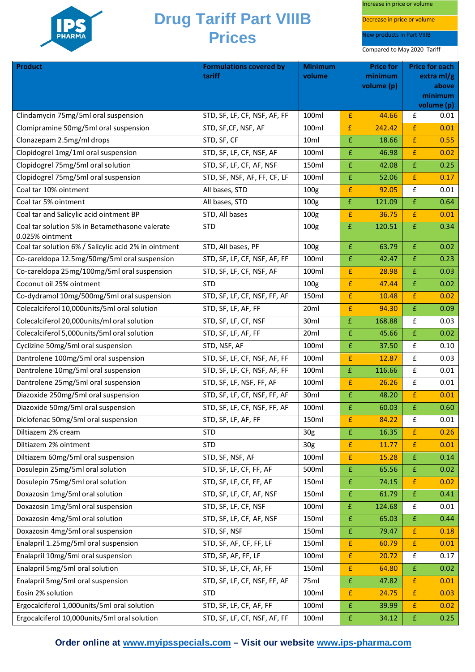

Increase in price or volume

Decrease in price or volume

New products in Part VIIIB

Compared to May 2020 Tariff

| <b>Product</b>                                                    | <b>Formulations covered by</b><br>tariff             | <b>Minimum</b><br>volume |                    | <b>Price for</b><br>minimum |                    | <b>Price for each</b><br>extra $ml/g$ |
|-------------------------------------------------------------------|------------------------------------------------------|--------------------------|--------------------|-----------------------------|--------------------|---------------------------------------|
|                                                                   |                                                      |                          |                    | volume (p)                  |                    | above                                 |
|                                                                   |                                                      |                          |                    |                             |                    | minimum                               |
| Clindamycin 75mg/5ml oral suspension                              |                                                      | 100ml                    | £                  | 44.66                       | £                  | volume (p)<br>0.01                    |
| Clomipramine 50mg/5ml oral suspension                             | STD, SF, LF, CF, NSF, AF, FF<br>STD, SF, CF, NSF, AF | 100ml                    | £                  | 242.42                      | £                  | 0.01                                  |
| Clonazepam 2.5mg/ml drops                                         |                                                      |                          |                    |                             | £                  | 0.55                                  |
|                                                                   | STD, SF, CF                                          | 10ml                     | £                  | 18.66                       | $\pmb{\mathsf{E}}$ |                                       |
| Clopidogrel 1mg/1ml oral suspension                               | STD, SF, LF, CF, NSF, AF                             | 100ml                    | £                  | 46.98                       |                    | 0.02                                  |
| Clopidogrel 75mg/5ml oral solution                                | STD, SF, LF, CF, AF, NSF                             | 150ml                    | £                  | 42.08                       | £                  | 0.25                                  |
| Clopidogrel 75mg/5ml oral suspension                              | STD, SF, NSF, AF, FF, CF, LF                         | 100ml                    | £                  | 52.06                       | £                  | 0.17                                  |
| Coal tar 10% ointment                                             | All bases, STD                                       | 100 <sub>g</sub>         | £                  | 92.05                       | £                  | 0.01                                  |
| Coal tar 5% ointment                                              | All bases, STD                                       | 100 <sub>g</sub>         | $\pmb{\mathsf{f}}$ | 121.09                      | £                  | 0.64                                  |
| Coal tar and Salicylic acid ointment BP                           | STD, All bases                                       | 100g                     | £                  | 36.75                       | £                  | 0.01                                  |
| Coal tar solution 5% in Betamethasone valerate<br>0.025% ointment | <b>STD</b>                                           | 100 <sub>g</sub>         | $\pmb{\mathsf{f}}$ | 120.51                      | $\pmb{\mathsf{f}}$ | 0.34                                  |
| Coal tar solution 6% / Salicylic acid 2% in ointment              | STD, All bases, PF                                   | 100 <sub>g</sub>         | £                  | 63.79                       | £                  | 0.02                                  |
| Co-careldopa 12.5mg/50mg/5ml oral suspension                      | STD, SF, LF, CF, NSF, AF, FF                         | 100ml                    | £                  | 42.47                       | £                  | 0.23                                  |
| Co-careldopa 25mg/100mg/5ml oral suspension                       | STD, SF, LF, CF, NSF, AF                             | 100ml                    | £                  | 28.98                       | £                  | 0.03                                  |
| Coconut oil 25% ointment                                          | <b>STD</b>                                           | 100g                     | £                  | 47.44                       | £                  | 0.02                                  |
| Co-dydramol 10mg/500mg/5ml oral suspension                        | STD, SF, LF, CF, NSF, FF, AF                         | 150ml                    | $\pmb{\mathsf{f}}$ | 10.48                       | £                  | 0.02                                  |
| Colecalciferol 10,000units/5ml oral solution                      | STD, SF, LF, AF, FF                                  | 20ml                     | £                  | 94.30                       | £                  | 0.09                                  |
| Colecalciferol 20,000units/ml oral solution                       | STD, SF, LF, CF, NSF                                 | 30ml                     | $\pmb{\mathsf{f}}$ | 168.88                      | $\pmb{\mathsf{f}}$ | 0.03                                  |
| Colecalciferol 5,000units/5ml oral solution                       | STD, SF, LF, AF, FF                                  | 20ml                     | £                  | 45.66                       | £                  | 0.02                                  |
| Cyclizine 50mg/5ml oral suspension                                | STD, NSF, AF                                         | 100ml                    | £                  | 37.50                       | £                  | 0.10                                  |
| Dantrolene 100mg/5ml oral suspension                              | STD, SF, LF, CF, NSF, AF, FF                         | 100ml                    | £                  | 12.87                       | £                  | 0.03                                  |
| Dantrolene 10mg/5ml oral suspension                               | STD, SF, LF, CF, NSF, AF, FF                         | 100ml                    | $\pmb{\mathsf{f}}$ | 116.66                      | £                  | 0.01                                  |
| Dantrolene 25mg/5ml oral suspension                               | STD, SF, LF, NSF, FF, AF                             | 100ml                    | £                  | 26.26                       | £                  | 0.01                                  |
| Diazoxide 250mg/5ml oral suspension                               | STD, SF, LF, CF, NSF, FF, AF                         | 30ml                     | £                  | 48.20                       | £                  | 0.01                                  |
| Diazoxide 50mg/5ml oral suspension                                | STD, SF, LF, CF, NSF, FF, AF                         | 100ml                    | £                  | 60.03                       | £                  | 0.60                                  |
| Diclofenac 50mg/5ml oral suspension                               | STD, SF, LF, AF, FF                                  | 150ml                    | £                  | 84.22                       | £                  | 0.01                                  |
| Diltiazem 2% cream                                                | <b>STD</b>                                           | 30 <sub>g</sub>          | £                  | 16.35                       | $\mathbf{f}$       | 0.26                                  |
| Diltiazem 2% ointment                                             | <b>STD</b>                                           | 30 <sub>g</sub>          | £                  | 11.77                       | $\pmb{\mathsf{f}}$ | 0.01                                  |
| Diltiazem 60mg/5ml oral suspension                                | STD, SF, NSF, AF                                     | 100ml                    | £                  | 15.28                       | £                  | 0.14                                  |
| Dosulepin 25mg/5ml oral solution                                  | STD, SF, LF, CF, FF, AF                              | 500ml                    | £                  | 65.56                       | £                  | 0.02                                  |
| Dosulepin 75mg/5ml oral solution                                  | STD, SF, LF, CF, FF, AF                              | 150ml                    | £                  | 74.15                       | £                  | 0.02                                  |
| Doxazosin 1mg/5ml oral solution                                   | STD, SF, LF, CF, AF, NSF                             | 150ml                    | £                  | 61.79                       | £                  | 0.41                                  |
| Doxazosin 1mg/5ml oral suspension                                 | STD, SF, LF, CF, NSF                                 | 100ml                    | $\mathbf{f}$       | 124.68                      | £                  | 0.01                                  |
| Doxazosin 4mg/5ml oral solution                                   | STD, SF, LF, CF, AF, NSF                             | 150ml                    | £                  | 65.03                       | £                  | 0.44                                  |
| Doxazosin 4mg/5ml oral suspension                                 | STD, SF, NSF                                         | 150ml                    | £                  | 79.47                       | £                  | 0.18                                  |
| Enalapril 1.25mg/5ml oral suspension                              | STD, SF, AF, CF, FF, LF                              | 150ml                    | £                  | 60.79                       | £                  | 0.01                                  |
| Enalapril 10mg/5ml oral suspension                                | STD, SF, AF, FF, LF                                  | 100ml                    | £                  | 20.72                       | £                  | 0.17                                  |
| Enalapril 5mg/5ml oral solution                                   | STD, SF, LF, CF, AF, FF                              | 150ml                    | £                  | 64.80                       | £                  | 0.02                                  |
| Enalapril 5mg/5ml oral suspension                                 | STD, SF, LF, CF, NSF, FF, AF                         | 75ml                     | £                  | 47.82                       | £                  | 0.01                                  |
| Eosin 2% solution                                                 | <b>STD</b>                                           | 100ml                    | £                  | 24.75                       | $\pmb{\mathsf{f}}$ | 0.03                                  |
| Ergocalciferol 1,000units/5ml oral solution                       | STD, SF, LF, CF, AF, FF                              | 100ml                    | £                  | 39.99                       | £                  | 0.02                                  |
| Ergocalciferol 10,000units/5ml oral solution                      | STD, SF, LF, CF, NSF, AF, FF                         | 100ml                    | £                  | 34.12                       | £                  | 0.25                                  |

**Order online at [www.myipsspecials.com](http://www.myipsspecials.com/) – Visit our website [www.ips-pharma.com](http://www.ips-pharma.com/)**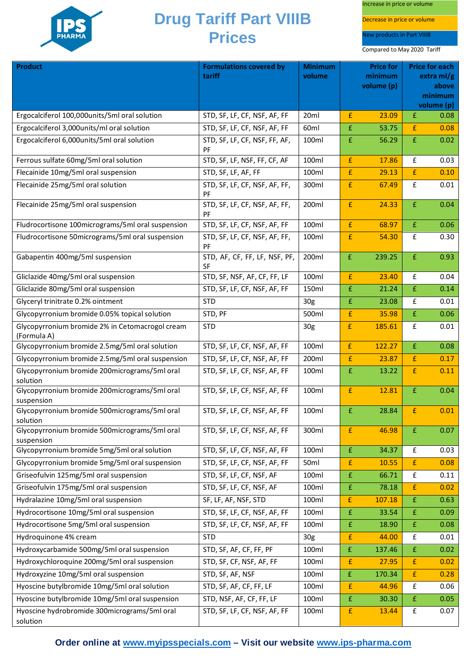

Increase in price or volume

Decrease in price or volume

New products in Part VIIIB

| <b>Product</b>                                                 | <b>Formulations covered by</b><br>tariff   | <b>Minimum</b><br>volume | <b>Price for</b><br>minimum |            | <b>Price for each</b><br>extra $ml/g$ |                       |
|----------------------------------------------------------------|--------------------------------------------|--------------------------|-----------------------------|------------|---------------------------------------|-----------------------|
|                                                                |                                            |                          |                             | volume (p) |                                       | above                 |
|                                                                |                                            |                          |                             |            |                                       | minimum<br>volume (p) |
| Ergocalciferol 100,000units/5ml oral solution                  | STD, SF, LF, CF, NSF, AF, FF               | 20ml                     | £                           | 23.09      | £                                     | 0.08                  |
| Ergocalciferol 3,000units/ml oral solution                     | STD, SF, LF, CF, NSF, AF, FF               | 60ml                     | £                           | 53.75      | £                                     | 0.08                  |
| Ergocalciferol 6,000units/5ml oral solution                    | STD, SF, LF, CF, NSF, FF, AF,              | 100ml                    | $\pmb{\mathsf{f}}$          | 56.29      | $\pmb{\mathsf{f}}$                    | 0.02                  |
|                                                                | PF                                         |                          |                             |            |                                       |                       |
| Ferrous sulfate 60mg/5ml oral solution                         | STD, SF, LF, NSF, FF, CF, AF               | 100ml                    | £                           | 17.86      | £                                     | 0.03                  |
| Flecainide 10mg/5ml oral suspension                            | STD, SF, LF, AF, FF                        | 100ml                    | £                           | 29.13      | £                                     | 0.10                  |
| Flecainide 25mg/5ml oral solution                              | STD, SF, LF, CF, NSF, AF, FF,<br>PF        | 300ml                    | £                           | 67.49      | £                                     | 0.01                  |
| Flecainide 25mg/5ml oral suspension                            | STD, SF, LF, CF, NSF, AF, FF,<br>PF        | 200ml                    | £                           | 24.33      | $\bar{\text{f}}$                      | 0.04                  |
| Fludrocortisone 100micrograms/5ml oral suspension              | STD, SF, LF, CF, NSF, AF, FF               | 100ml                    | £                           | 68.97      | £                                     | 0.06                  |
| Fludrocortisone 50micrograms/5ml oral suspension               | STD, SF, LF, CF, NSF, AF, FF,<br>PF        | 100ml                    | £                           | 54.30      | $\pmb{\mathsf{f}}$                    | 0.30                  |
| Gabapentin 400mg/5ml suspension                                | STD, AF, CF, FF, LF, NSF, PF,<br><b>SF</b> | 200ml                    | £                           | 239.25     | $\pmb{\mathsf{f}}$                    | 0.93                  |
| Gliclazide 40mg/5ml oral suspension                            | STD, SF, NSF, AF, CF, FF, LF               | 100ml                    | £                           | 23.40      | £                                     | 0.04                  |
| Gliclazide 80mg/5ml oral suspension                            | STD, SF, LF, CF, NSF, AF, FF               | 150ml                    | £                           | 21.24      | $\pmb{\mathsf{f}}$                    | 0.14                  |
| Glyceryl trinitrate 0.2% ointment                              | <b>STD</b>                                 | 30 <sub>g</sub>          | £                           | 23.08      | $\pmb{\mathsf{f}}$                    | 0.01                  |
| Glycopyrronium bromide 0.05% topical solution                  | STD, PF                                    | 500ml                    | £                           | 35.98      | $\pmb{\mathsf{f}}$                    | 0.06                  |
| Glycopyrronium bromide 2% in Cetomacrogol cream<br>(Formula A) | <b>STD</b>                                 | 30 <sub>g</sub>          | £                           | 185.61     | £                                     | 0.01                  |
| Glycopyrronium bromide 2.5mg/5ml oral solution                 | STD, SF, LF, CF, NSF, AF, FF               | 100ml                    | £                           | 122.27     | $\pmb{\mathsf{f}}$                    | 0.08                  |
| Glycopyrronium bromide 2.5mg/5ml oral suspension               | STD, SF, LF, CF, NSF, AF, FF               | 200ml                    | £                           | 23.87      | £                                     | 0.17                  |
| Glycopyrronium bromide 200micrograms/5ml oral<br>solution      | STD, SF, LF, CF, NSF, AF, FF               | 100ml                    | £                           | 13.22      | £                                     | 0.11                  |
| Glycopyrronium bromide 200micrograms/5ml oral<br>suspension    | STD, SF, LF, CF, NSF, AF, FF               | 100ml                    | £                           | 12.81      | $\pmb{\mathsf{f}}$                    | 0.04                  |
| Glycopyrronium bromide 500micrograms/5ml oral<br>solution      | STD, SF, LF, CF, NSF, AF, FF               | 100ml                    | $\pmb{\mathsf{f}}$          | 28.84      | £                                     | 0.01                  |
| Glycopyrronium bromide 500micrograms/5ml oral<br>suspension    | STD, SF, LF, CF, NSF, AF, FF               | 300ml                    | £                           | 46.98      | £                                     | 0.07                  |
| Glycopyrronium bromide 5mg/5ml oral solution                   | STD, SF, LF, CF, NSF, AF, FF               | 100ml                    | $\pmb{\mathsf{f}}$          | 34.37      | £                                     | 0.03                  |
| Glycopyrronium bromide 5mg/5ml oral suspension                 | STD, SF, LF, CF, NSF, AF, FF               | 50ml                     | £                           | 10.55      | £                                     | 0.08                  |
| Griseofulvin 125mg/5ml oral suspension                         | STD, SF, LF, CF, NSF, AF                   | 100ml                    | £                           | 66.71      | $\pmb{\mathsf{f}}$                    | 0.11                  |
| Griseofulvin 175mg/5ml oral suspension                         | STD, SF, LF, CF, NSF, AF                   | 100ml                    | £                           | 78.18      | $\pmb{\mathsf{f}}$                    | 0.02                  |
| Hydralazine 10mg/5ml oral suspension                           | SF, LF, AF, NSF, STD                       | 100ml                    | £                           | 107.18     | £                                     | 0.63                  |
| Hydrocortisone 10mg/5ml oral suspension                        | STD, SF, LF, CF, NSF, AF, FF               | 100ml                    | £                           | 33.54      | £                                     | 0.09                  |
| Hydrocortisone 5mg/5ml oral suspension                         | STD, SF, LF, CF, NSF, AF, FF               | 100ml                    | £                           | 18.90      | £                                     | 0.08                  |
| Hydroquinone 4% cream                                          | <b>STD</b>                                 | 30 <sub>g</sub>          | £                           | 44.00      | £                                     | 0.01                  |
| Hydroxycarbamide 500mg/5ml oral suspension                     | STD, SF, AF, CF, FF, PF                    | 100ml                    | £                           | 137.46     | £                                     | 0.02                  |
| Hydroxychloroquine 200mg/5ml oral suspension                   | STD, SF, CF, NSF, AF, FF                   | 100ml                    | £                           | 27.95      | $\pmb{\mathsf{f}}$                    | 0.02                  |
| Hydroxyzine 10mg/5ml oral suspension                           | STD, SF, AF, NSF                           | 100ml                    | £                           | 170.34     | £                                     | 0.28                  |
| Hyoscine butylbromide 10mg/5ml oral solution                   | STD, SF, AF, CF, FF, LF                    | 100ml                    | £                           | 44.96      | £                                     | 0.06                  |
| Hyoscine butylbromide 10mg/5ml oral suspension                 | STD, NSF, AF, CF, FF, LF                   | 100ml                    | $\pmb{\mathsf{f}}$          | 30.30      | $\pmb{\mathsf{f}}$                    | 0.05                  |
| Hyoscine hydrobromide 300micrograms/5ml oral<br>solution       | STD, SF, LF, CF, NSF, AF, FF               | 100ml                    | £                           | 13.44      | £                                     | 0.07                  |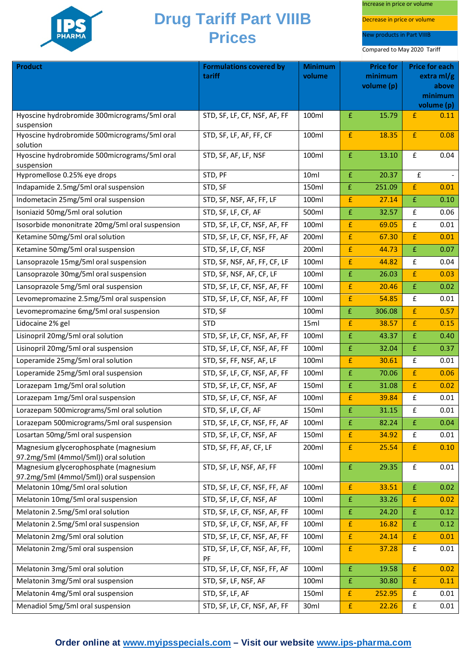

Increase in price or volume

Decrease in price or volume

New products in Part VIIIB

| <b>Product</b>                                                                 | <b>Formulations covered by</b><br>tariff | <b>Minimum</b><br>volume | <b>Price for</b><br>minimum |            | <b>Price for each</b><br>extra ml/g |                  |
|--------------------------------------------------------------------------------|------------------------------------------|--------------------------|-----------------------------|------------|-------------------------------------|------------------|
|                                                                                |                                          |                          |                             | volume (p) |                                     | above<br>minimum |
|                                                                                |                                          |                          |                             |            |                                     | volume (p)       |
| Hyoscine hydrobromide 300micrograms/5ml oral<br>suspension                     | STD, SF, LF, CF, NSF, AF, FF             | 100ml                    | £                           | 15.79      | £                                   | 0.11             |
| Hyoscine hydrobromide 500micrograms/5ml oral                                   | STD, SF, LF, AF, FF, CF                  | 100ml                    | £                           | 18.35      | £                                   | 0.08             |
| solution                                                                       |                                          |                          |                             |            |                                     |                  |
| Hyoscine hydrobromide 500micrograms/5ml oral<br>suspension                     | STD, SF, AF, LF, NSF                     | 100ml                    | £                           | 13.10      | £                                   | 0.04             |
| Hypromellose 0.25% eye drops                                                   | STD, PF                                  | 10ml                     | £                           | 20.37      | £                                   |                  |
| Indapamide 2.5mg/5ml oral suspension                                           | STD, SF                                  | 150ml                    | $\mathbf{f}$                | 251.09     | £                                   | 0.01             |
| Indometacin 25mg/5ml oral suspension                                           | STD, SF, NSF, AF, FF, LF                 | 100ml                    | £                           | 27.14      | £                                   | 0.10             |
| Isoniazid 50mg/5ml oral solution                                               | STD, SF, LF, CF, AF                      | 500ml                    | £                           | 32.57      | £                                   | 0.06             |
| Isosorbide mononitrate 20mg/5ml oral suspension                                | STD, SF, LF, CF, NSF, AF, FF             | 100ml                    | £                           | 69.05      | £                                   | 0.01             |
| Ketamine 50mg/5ml oral solution                                                | STD, SF, LF, CF, NSF, FF, AF             | 200ml                    | £                           | 67.30      | £                                   | 0.01             |
| Ketamine 50mg/5ml oral suspension                                              | STD, SF, LF, CF, NSF                     | 200ml                    | £                           | 44.73      | £                                   | 0.07             |
| Lansoprazole 15mg/5ml oral suspension                                          | STD, SF, NSF, AF, FF, CF, LF             | 100ml                    | £                           | 44.82      | £                                   | 0.04             |
| Lansoprazole 30mg/5ml oral suspension                                          | STD, SF, NSF, AF, CF, LF                 | 100ml                    | £                           | 26.03      | £                                   | 0.03             |
| Lansoprazole 5mg/5ml oral suspension                                           | STD, SF, LF, CF, NSF, AF, FF             | 100ml                    | £                           | 20.46      | £                                   | 0.02             |
| Levomepromazine 2.5mg/5ml oral suspension                                      | STD, SF, LF, CF, NSF, AF, FF             | 100ml                    | £                           | 54.85      | £                                   | 0.01             |
| Levomepromazine 6mg/5ml oral suspension                                        | STD, SF                                  | 100ml                    | £                           | 306.08     | £                                   | 0.57             |
| Lidocaine 2% gel                                                               | <b>STD</b>                               | 15ml                     | £                           | 38.57      | £                                   | 0.15             |
| Lisinopril 20mg/5ml oral solution                                              | STD, SF, LF, CF, NSF, AF, FF             | 100ml                    | £                           | 43.37      | £                                   | 0.40             |
| Lisinopril 20mg/5ml oral suspension                                            | STD, SF, LF, CF, NSF, AF, FF             | 100ml                    | £                           | 32.04      | £                                   | 0.37             |
| Loperamide 25mg/5ml oral solution                                              | STD, SF, FF, NSF, AF, LF                 | 100ml                    | £                           | 30.61      | £                                   | 0.01             |
| Loperamide 25mg/5ml oral suspension                                            | STD, SF, LF, CF, NSF, AF, FF             | 100ml                    | £                           | 70.06      | £                                   | 0.06             |
| Lorazepam 1mg/5ml oral solution                                                | STD, SF, LF, CF, NSF, AF                 | 150ml                    | £                           | 31.08      | £                                   | 0.02             |
| Lorazepam 1mg/5ml oral suspension                                              | STD, SF, LF, CF, NSF, AF                 | 100ml                    | £                           | 39.84      | £                                   | 0.01             |
| Lorazepam 500micrograms/5ml oral solution                                      | STD, SF, LF, CF, AF                      | 150ml                    | £                           | 31.15      | £                                   | 0.01             |
| Lorazepam 500micrograms/5ml oral suspension                                    | STD, SF, LF, CF, NSF, FF, AF             | 100ml                    | £                           | 82.24      | £                                   | 0.04             |
| Losartan 50mg/5ml oral suspension                                              | STD, SF, LF, CF, NSF, AF                 | 150ml                    | £                           | 34.92      | £                                   | 0.01             |
| Magnesium glycerophosphate (magnesium<br>97.2mg/5ml (4mmol/5ml)) oral solution | STD, SF, FF, AF, CF, LF                  | 200ml                    | $\pmb{\mathsf{f}}$          | 25.54      | $\pmb{\mathsf{f}}$                  | 0.10             |
| Magnesium glycerophosphate (magnesium                                          | STD, SF, LF, NSF, AF, FF                 | 100ml                    | $\pmb{\mathsf{f}}$          | 29.35      | $\pmb{\mathsf{f}}$                  | 0.01             |
| 97.2mg/5ml (4mmol/5ml)) oral suspension                                        |                                          |                          |                             |            |                                     |                  |
| Melatonin 10mg/5ml oral solution                                               | STD, SF, LF, CF, NSF, FF, AF             | 100ml                    | £                           | 33.51      | $\pmb{\mathsf{f}}$                  | 0.02             |
| Melatonin 10mg/5ml oral suspension                                             | STD, SF, LF, CF, NSF, AF                 | 100ml                    | £                           | 33.26      | £                                   | 0.02             |
| Melatonin 2.5mg/5ml oral solution                                              | STD, SF, LF, CF, NSF, AF, FF             | 100ml                    | $\pmb{\mathsf{f}}$          | 24.20      | £                                   | 0.12             |
| Melatonin 2.5mg/5ml oral suspension                                            | STD, SF, LF, CF, NSF, AF, FF             | 100ml                    | $\pmb{\mathsf{f}}$          | 16.82      | £                                   | 0.12             |
| Melatonin 2mg/5ml oral solution                                                | STD, SF, LF, CF, NSF, AF, FF             | 100ml                    | £                           | 24.14      | £                                   | 0.01             |
| Melatonin 2mg/5ml oral suspension                                              | STD, SF, LF, CF, NSF, AF, FF,<br>PF      | 100ml                    | $\pmb{\mathsf{f}}$          | 37.28      | £                                   | 0.01             |
| Melatonin 3mg/5ml oral solution                                                | STD, SF, LF, CF, NSF, FF, AF             | 100ml                    | $\pmb{\mathrm{f}}$          | 19.58      | £                                   | 0.02             |
| Melatonin 3mg/5ml oral suspension                                              | STD, SF, LF, NSF, AF                     | 100ml                    | £                           | 30.80      | $\pmb{\mathsf{f}}$                  | 0.11             |
| Melatonin 4mg/5ml oral suspension                                              | STD, SF, LF, AF                          | 150ml                    | $\pmb{\mathrm{f}}$          | 252.95     | £                                   | 0.01             |
| Menadiol 5mg/5ml oral suspension                                               | STD, SF, LF, CF, NSF, AF, FF             | 30ml                     | $\pmb{\mathsf{f}}$          | 22.26      | $\pmb{\mathsf{f}}$                  | 0.01             |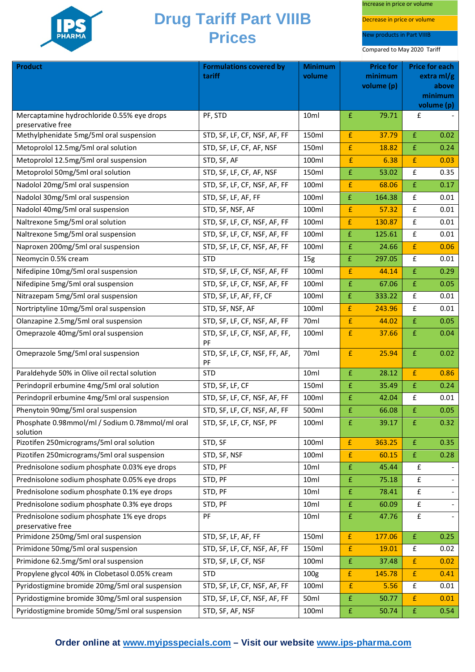

Increase in price or volume

Decrease in price or volume

New products in Part VIIIB

| <b>Product</b>                                                                         | <b>Formulations covered by</b>      | <b>Minimum</b>   | <b>Price for</b>   |                       | <b>Price for each</b> |                     |
|----------------------------------------------------------------------------------------|-------------------------------------|------------------|--------------------|-----------------------|-----------------------|---------------------|
|                                                                                        | tariff                              | volume           |                    | minimum<br>volume (p) |                       | extra ml/g<br>above |
|                                                                                        |                                     |                  |                    |                       |                       | minimum             |
|                                                                                        |                                     |                  |                    |                       |                       | volume (p)          |
| Mercaptamine hydrochloride 0.55% eye drops<br>preservative free                        | PF, STD                             | 10ml             | £                  | 79.71                 | £                     |                     |
| Methylphenidate 5mg/5ml oral suspension                                                | STD, SF, LF, CF, NSF, AF, FF        | 150ml            | £                  | 37.79                 | £                     | 0.02                |
| Metoprolol 12.5mg/5ml oral solution                                                    | STD, SF, LF, CF, AF, NSF            | 150ml            | £                  | 18.82                 | £                     | 0.24                |
| Metoprolol 12.5mg/5ml oral suspension                                                  | STD, SF, AF                         | 100ml            | £                  | 6.38                  | £                     | 0.03                |
| Metoprolol 50mg/5ml oral solution                                                      | STD, SF, LF, CF, AF, NSF            | 150ml            | £                  | 53.02                 | £                     | 0.35                |
| Nadolol 20mg/5ml oral suspension                                                       | STD, SF, LF, CF, NSF, AF, FF        | 100ml            | £                  | 68.06                 | £                     | 0.17                |
| Nadolol 30mg/5ml oral suspension                                                       | STD, SF, LF, AF, FF                 | 100ml            | $\pmb{\mathsf{f}}$ | 164.38                | £                     | 0.01                |
| Nadolol 40mg/5ml oral suspension                                                       | STD, SF, NSF, AF                    | 100ml            | £                  | 57.32                 | £                     | 0.01                |
| Naltrexone 5mg/5ml oral solution                                                       | STD, SF, LF, CF, NSF, AF, FF        | 100ml            | £                  | 130.87                | $\pmb{\mathsf{f}}$    | 0.01                |
| Naltrexone 5mg/5ml oral suspension                                                     | STD, SF, LF, CF, NSF, AF, FF        | 100ml            | £                  | 125.61                | $\pmb{\mathsf{f}}$    | 0.01                |
| Naproxen 200mg/5ml oral suspension                                                     | STD, SF, LF, CF, NSF, AF, FF        | 100ml            | £                  | 24.66                 | £                     | 0.06                |
| Neomycin 0.5% cream                                                                    | <b>STD</b>                          | 15 <sub>g</sub>  | £                  | 297.05                | £                     | 0.01                |
| Nifedipine 10mg/5ml oral suspension                                                    | STD, SF, LF, CF, NSF, AF, FF        | 100ml            | £                  | 44.14                 | £                     | 0.29                |
| Nifedipine 5mg/5ml oral suspension                                                     | STD, SF, LF, CF, NSF, AF, FF        | 100ml            | £                  | 67.06                 | £                     | 0.05                |
| Nitrazepam 5mg/5ml oral suspension                                                     | STD, SF, LF, AF, FF, CF             | 100ml            | £                  | 333.22                | £                     | 0.01                |
| Nortriptyline 10mg/5ml oral suspension                                                 | STD, SF, NSF, AF                    | 100ml            | £                  | 243.96                | £                     | 0.01                |
| Olanzapine 2.5mg/5ml oral suspension                                                   | STD, SF, LF, CF, NSF, AF, FF        | 70 <sub>ml</sub> | £                  | 44.02                 | £                     | 0.05                |
| Omeprazole 40mg/5ml oral suspension                                                    | STD, SF, LF, CF, NSF, AF, FF,<br>PF | 100ml            | £                  | 37.66                 | £                     | 0.04                |
| Omeprazole 5mg/5ml oral suspension                                                     | STD, SF, LF, CF, NSF, FF, AF,<br>PF | 70ml             | £                  | 25.94                 | £                     | 0.02                |
| Paraldehyde 50% in Olive oil rectal solution                                           | <b>STD</b>                          | 10ml             | £                  | 28.12                 | £                     | 0.86                |
| Perindopril erbumine 4mg/5ml oral solution                                             | STD, SF, LF, CF                     | 150ml            | £                  | 35.49                 | $\pmb{\mathsf{E}}$    | 0.24                |
| Perindopril erbumine 4mg/5ml oral suspension                                           | STD, SF, LF, CF, NSF, AF, FF        | 100ml            | £                  | 42.04                 | £                     | 0.01                |
| Phenytoin 90mg/5ml oral suspension                                                     | STD, SF, LF, CF, NSF, AF, FF        | 500ml            | £                  | 66.08                 | £                     | 0.05                |
| Phosphate 0.98mmol/ml / Sodium 0.78mmol/ml oral<br>solution                            | STD, SF, LF, CF, NSF, PF            | 100ml            | £                  | 39.17                 | £                     | 0.32                |
| Pizotifen 250micrograms/5ml oral solution                                              | STD, SF                             | 100ml            | £                  | 363.25                | £                     | 0.35                |
| Pizotifen 250micrograms/5ml oral suspension                                            | STD, SF, NSF                        | 100ml            | £                  | 60.15                 | £                     | 0.28                |
| Prednisolone sodium phosphate 0.03% eye drops                                          | STD, PF                             | 10ml             | £                  | 45.44                 | £                     |                     |
| Prednisolone sodium phosphate 0.05% eye drops                                          | STD, PF                             | 10ml             | £                  | 75.18                 | £                     |                     |
| Prednisolone sodium phosphate 0.1% eye drops                                           | STD, PF                             | 10ml             | £                  | 78.41                 | £                     |                     |
| Prednisolone sodium phosphate 0.3% eye drops                                           | STD, PF                             | 10ml             | £                  | 60.09                 | £                     |                     |
| Prednisolone sodium phosphate 1% eye drops                                             | PF                                  | 10ml             | £                  | 47.76                 | £                     |                     |
| preservative free                                                                      |                                     | 150ml            | $\pmb{\mathsf{f}}$ |                       | $\pmb{\mathsf{f}}$    | 0.25                |
| Primidone 250mg/5ml oral suspension<br>Primidone 50mg/5ml oral suspension              | STD, SF, LF, AF, FF                 | 150ml            | £                  | 177.06<br>19.01       | £                     | 0.02                |
|                                                                                        | STD, SF, LF, CF, NSF, AF, FF        | 100ml            |                    |                       |                       |                     |
| Primidone 62.5mg/5ml oral suspension<br>Propylene glycol 40% in Clobetasol 0.05% cream | STD, SF, LF, CF, NSF<br><b>STD</b>  | 100 <sub>g</sub> | £<br>£             | 37.48<br>145.78       | £<br>£                | 0.02<br>0.41        |
| Pyridostigmine bromide 20mg/5ml oral suspension                                        | STD, SF, LF, CF, NSF, AF, FF        | 100ml            | £                  | 5.56                  | £                     | 0.01                |
| Pyridostigmine bromide 30mg/5ml oral suspension                                        | STD, SF, LF, CF, NSF, AF, FF        | 50ml             | £                  | 50.77                 | £                     | 0.01                |
| Pyridostigmine bromide 50mg/5ml oral suspension                                        | STD, SF, AF, NSF                    | 100ml            | £                  | 50.74                 | $\pmb{\mathsf{E}}$    | 0.54                |
|                                                                                        |                                     |                  |                    |                       |                       |                     |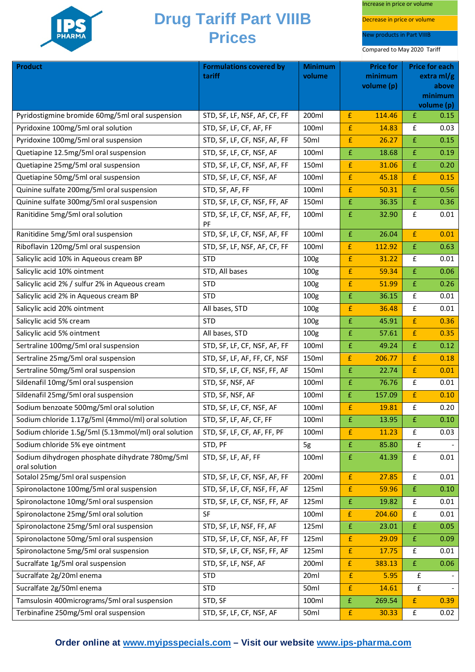

Increase in price or volume

Decrease in price or volume

New products in Part VIIIB

| <b>Product</b>                                                   | <b>Formulations covered by</b>      | <b>Minimum</b>   | <b>Price for</b>   |                       | <b>Price for each</b> |                       |
|------------------------------------------------------------------|-------------------------------------|------------------|--------------------|-----------------------|-----------------------|-----------------------|
|                                                                  | tariff                              | volume           |                    | minimum<br>volume (p) |                       | extra $ml/g$<br>above |
|                                                                  |                                     |                  |                    |                       |                       | minimum               |
|                                                                  |                                     |                  |                    |                       |                       | volume (p)            |
| Pyridostigmine bromide 60mg/5ml oral suspension                  | STD, SF, LF, NSF, AF, CF, FF        | 200ml            | £                  | 114.46                | £                     | 0.15                  |
| Pyridoxine 100mg/5ml oral solution                               | STD, SF, LF, CF, AF, FF             | 100ml            | £                  | 14.83                 | £                     | 0.03                  |
| Pyridoxine 100mg/5ml oral suspension                             | STD, SF, LF, CF, NSF, AF, FF        | 50ml             | £                  | 26.27                 | $\pmb{\mathsf{f}}$    | 0.15                  |
| Quetiapine 12.5mg/5ml oral suspension                            | STD, SF, LF, CF, NSF, AF            | 100ml            | $\pmb{\mathsf{f}}$ | 18.68                 | £                     | 0.19                  |
| Quetiapine 25mg/5ml oral suspension                              | STD, SF, LF, CF, NSF, AF, FF        | 150ml            | $\pmb{\mathsf{f}}$ | 31.06                 | $\bar{\text{f}}$      | 0.20                  |
| Quetiapine 50mg/5ml oral suspension                              | STD, SF, LF, CF, NSF, AF            | 100ml            | $\pmb{\mathsf{f}}$ | 45.18                 | £                     | 0.15                  |
| Quinine sulfate 200mg/5ml oral suspension                        | STD, SF, AF, FF                     | 100ml            | $\mathbf{f}$       | 50.31                 | $\pmb{\mathsf{f}}$    | 0.56                  |
| Quinine sulfate 300mg/5ml oral suspension                        | STD, SF, LF, CF, NSF, FF, AF        | 150ml            | $\mathbf{f}$       | 36.35                 | $\pmb{\mathsf{f}}$    | 0.36                  |
| Ranitidine 5mg/5ml oral solution                                 | STD, SF, LF, CF, NSF, AF, FF,<br>PF | 100ml            | $\mathbf{f}$       | 32.90                 | £                     | 0.01                  |
| Ranitidine 5mg/5ml oral suspension                               | STD, SF, LF, CF, NSF, AF, FF        | 100ml            | $\mathbf{f}$       | 26.04                 | £                     | 0.01                  |
| Riboflavin 120mg/5ml oral suspension                             | STD, SF, LF, NSF, AF, CF, FF        | 100ml            | £                  | 112.92                | $\pmb{\mathsf{f}}$    | 0.63                  |
| Salicylic acid 10% in Aqueous cream BP                           | <b>STD</b>                          | 100g             | $\pmb{\mathsf{f}}$ | 31.22                 | £                     | 0.01                  |
| Salicylic acid 10% ointment                                      | STD, All bases                      | 100 <sub>g</sub> | $\pmb{\mathsf{f}}$ | 59.34                 | $\pmb{\mathsf{f}}$    | 0.06                  |
| Salicylic acid 2% / sulfur 2% in Aqueous cream                   | <b>STD</b>                          | 100 <sub>g</sub> | £                  | 51.99                 | £                     | 0.26                  |
| Salicylic acid 2% in Aqueous cream BP                            | <b>STD</b>                          | 100 <sub>g</sub> | $\pmb{\mathsf{f}}$ | 36.15                 | £                     | 0.01                  |
| Salicylic acid 20% ointment                                      | All bases, STD                      | 100 <sub>g</sub> | $\pmb{\mathsf{f}}$ | 36.48                 | $\pmb{\mathsf{f}}$    | 0.01                  |
| Salicylic acid 5% cream                                          | <b>STD</b>                          | 100g             | $\pmb{\mathsf{f}}$ | 45.91                 | $\pmb{\mathsf{f}}$    | 0.36                  |
| Salicylic acid 5% ointment                                       | All bases, STD                      | 100 <sub>g</sub> | $\pmb{\mathsf{f}}$ | 57.61                 | $\pmb{\mathsf{f}}$    | 0.35                  |
| Sertraline 100mg/5ml oral suspension                             | STD, SF, LF, CF, NSF, AF, FF        | 100ml            | $\mathbf{f}$       | 49.24                 | £                     | 0.12                  |
| Sertraline 25mg/5ml oral suspension                              | STD, SF, LF, AF, FF, CF, NSF        | 150ml            | £                  | 206.77                | £                     | 0.18                  |
| Sertraline 50mg/5ml oral suspension                              | STD, SF, LF, CF, NSF, FF, AF        | 150ml            | $\pmb{\mathsf{f}}$ | 22.74                 | $\pmb{\mathsf{f}}$    | 0.01                  |
| Sildenafil 10mg/5ml oral suspension                              | STD, SF, NSF, AF                    | 100ml            | $\mathbf{f}$       | 76.76                 | £                     | 0.01                  |
| Sildenafil 25mg/5ml oral suspension                              | STD, SF, NSF, AF                    | 100ml            | $\pmb{\mathsf{f}}$ | 157.09                | $\bar{\text{f}}$      | 0.10                  |
| Sodium benzoate 500mg/5ml oral solution                          | STD, SF, LF, CF, NSF, AF            | 100ml            | £                  | 19.81                 | $\pmb{\mathsf{f}}$    | 0.20                  |
| Sodium chloride 1.17g/5ml (4mmol/ml) oral solution               | STD, SF, LF, AF, CF, FF             | 100ml            | $\pmb{\mathsf{f}}$ | 13.95                 | $\pmb{\mathsf{f}}$    | 0.10                  |
| Sodium chloride 1.5g/5ml (5.13mmol/ml) oral solution             | STD, SF, LF, CF, AF, FF, PF         | 100ml            | $\mathbf{f}$       | 11.23                 | $\pmb{\mathsf{f}}$    | 0.03                  |
| Sodium chloride 5% eye ointment                                  | STD, PF                             | 5g               | $\pmb{\mathsf{f}}$ | 85.80                 | £                     |                       |
| Sodium dihydrogen phosphate dihydrate 780mg/5ml<br>oral solution | STD, SF, LF, AF, FF                 | 100ml            | $\mathbf{f}$       | 41.39                 | $\pmb{\mathsf{f}}$    | 0.01                  |
| Sotalol 25mg/5ml oral suspension                                 | STD, SF, LF, CF, NSF, AF, FF        | 200ml            | $\pmb{\mathsf{f}}$ | 27.85                 | $\mathbf f$           | 0.01                  |
| Spironolactone 100mg/5ml oral suspension                         | STD, SF, LF, CF, NSF, FF, AF        | 125ml            | $\pmb{\mathsf{f}}$ | 59.96                 | $\pmb{\mathsf{f}}$    | 0.10                  |
| Spironolactone 10mg/5ml oral suspension                          | STD, SF, LF, CF, NSF, FF, AF        | 125ml            | $\pmb{\mathsf{f}}$ | 19.82                 | £                     | 0.01                  |
| Spironolactone 25mg/5ml oral solution                            | <b>SF</b>                           | 100ml            | $\pmb{\mathsf{f}}$ | 204.60                | $\pmb{\mathsf{f}}$    | 0.01                  |
| Spironolactone 25mg/5ml oral suspension                          | STD, SF, LF, NSF, FF, AF            | 125ml            | $\pmb{\mathsf{f}}$ | 23.01                 | $\pounds$             | 0.05                  |
| Spironolactone 50mg/5ml oral suspension                          | STD, SF, LF, CF, NSF, AF, FF        | 125ml            | $\pmb{\mathsf{f}}$ | 29.09                 | $\pmb{\mathrm{f}}$    | 0.09                  |
| Spironolactone 5mg/5ml oral suspension                           | STD, SF, LF, CF, NSF, FF, AF        | 125ml            | £                  | 17.75                 | £                     | 0.01                  |
| Sucralfate 1g/5ml oral suspension                                | STD, SF, LF, NSF, AF                | 200ml            | £                  | 383.13                | $\pmb{\mathrm{f}}$    | 0.06                  |
| Sucralfate 2g/20ml enema                                         | <b>STD</b>                          | 20ml             | £                  | 5.95                  | £                     |                       |
| Sucralfate 2g/50ml enema                                         | <b>STD</b>                          | 50 <sub>ml</sub> | $\pmb{\mathsf{f}}$ | 14.61                 | £                     |                       |
| Tamsulosin 400micrograms/5ml oral suspension                     | STD, SF                             | 100ml            | $\pmb{\mathsf{f}}$ | 269.54                | $\pmb{\mathsf{f}}$    | 0.39                  |
| Terbinafine 250mg/5ml oral suspension                            | STD, SF, LF, CF, NSF, AF            | 50ml             | $\pmb{\mathsf{f}}$ | 30.33                 | ${\bf f}$             | 0.02                  |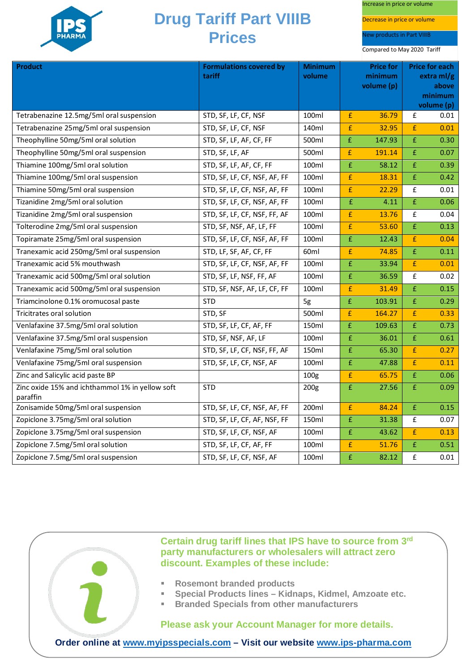

Increase in price or volume

Decrease in price or volume

New products in Part VIIIB

Compared to May 2020 Tariff

| <b>Product</b>                                              | <b>Formulations covered by</b><br>tariff | <b>Minimum</b><br>volume | <b>Price for</b><br>minimum<br>volume (p) |        | <b>Price for each</b><br>extra ml/g<br>above<br>minimum<br>volume (p) |      |
|-------------------------------------------------------------|------------------------------------------|--------------------------|-------------------------------------------|--------|-----------------------------------------------------------------------|------|
| Tetrabenazine 12.5mg/5ml oral suspension                    | STD, SF, LF, CF, NSF                     | 100ml                    | £                                         | 36.79  | £                                                                     | 0.01 |
| Tetrabenazine 25mg/5ml oral suspension                      | STD, SF, LF, CF, NSF                     | 140ml                    | £                                         | 32.95  | £                                                                     | 0.01 |
| Theophylline 50mg/5ml oral solution                         | STD, SF, LF, AF, CF, FF                  | 500ml                    | $\bar{\mathrm{f}}$                        | 147.93 | £                                                                     | 0.30 |
| Theophylline 50mg/5ml oral suspension                       | STD, SF, LF, AF                          | 500ml                    | $\pmb{\mathrm{f}}$                        | 191.14 | £                                                                     | 0.07 |
| Thiamine 100mg/5ml oral solution                            | STD, SF, LF, AF, CF, FF                  | 100ml                    | £                                         | 58.12  | £                                                                     | 0.39 |
| Thiamine 100mg/5ml oral suspension                          | STD, SF, LF, CF, NSF, AF, FF             | 100ml                    | £                                         | 18.31  | £                                                                     | 0.42 |
| Thiamine 50mg/5ml oral suspension                           | STD, SF, LF, CF, NSF, AF, FF             | 100ml                    | $\pmb{\mathsf{f}}$                        | 22.29  | $\pmb{\mathsf{f}}$                                                    | 0.01 |
| Tizanidine 2mg/5ml oral solution                            | STD, SF, LF, CF, NSF, AF, FF             | 100ml                    | $\pmb{\mathsf{f}}$                        | 4.11   | £                                                                     | 0.06 |
| Tizanidine 2mg/5ml oral suspension                          | STD, SF, LF, CF, NSF, FF, AF             | 100ml                    | $\pmb{\mathsf{f}}$                        | 13.76  | £                                                                     | 0.04 |
| Tolterodine 2mg/5ml oral suspension                         | STD, SF, NSF, AF, LF, FF                 | 100ml                    | £                                         | 53.60  | £                                                                     | 0.13 |
| Topiramate 25mg/5ml oral suspension                         | STD, SF, LF, CF, NSF, AF, FF             | 100ml                    | £                                         | 12.43  | £                                                                     | 0.04 |
| Tranexamic acid 250mg/5ml oral suspension                   | STD, LF, SF, AF, CF, FF                  | 60ml                     | £                                         | 74.85  | £                                                                     | 0.11 |
| Tranexamic acid 5% mouthwash                                | STD, SF, LF, CF, NSF, AF, FF             | 100ml                    | £                                         | 33.94  | $\pmb{\mathsf{f}}$                                                    | 0.01 |
| Tranexamic acid 500mg/5ml oral solution                     | STD, SF, LF, NSF, FF, AF                 | 100ml                    | $\pmb{\mathsf{f}}$                        | 36.59  | £                                                                     | 0.02 |
| Tranexamic acid 500mg/5ml oral suspension                   | STD, SF, NSF, AF, LF, CF, FF             | 100ml                    | £                                         | 31.49  | £                                                                     | 0.15 |
| Triamcinolone 0.1% oromucosal paste                         | <b>STD</b>                               | 5g                       | $\bar{\text{f}}$                          | 103.91 | £                                                                     | 0.29 |
| Tricitrates oral solution                                   | STD, SF                                  | 500ml                    | $\mathbf{f}$                              | 164.27 | £                                                                     | 0.33 |
| Venlafaxine 37.5mg/5ml oral solution                        | STD, SF, LF, CF, AF, FF                  | 150ml                    | $\pmb{\mathsf{f}}$                        | 109.63 | £                                                                     | 0.73 |
| Venlafaxine 37.5mg/5ml oral suspension                      | STD, SF, NSF, AF, LF                     | 100ml                    | £                                         | 36.01  | £                                                                     | 0.61 |
| Venlafaxine 75mg/5ml oral solution                          | STD, SF, LF, CF, NSF, FF, AF             | 150ml                    | £                                         | 65.30  | £                                                                     | 0.27 |
| Venlafaxine 75mg/5ml oral suspension                        | STD, SF, LF, CF, NSF, AF                 | 100ml                    | $\pmb{\mathsf{f}}$                        | 47.88  | £                                                                     | 0.11 |
| Zinc and Salicylic acid paste BP                            |                                          | 100 <sub>g</sub>         | $\pmb{\mathsf{f}}$                        | 65.75  | £                                                                     | 0.06 |
| Zinc oxide 15% and ichthammol 1% in yellow soft<br>paraffin | <b>STD</b>                               | 200 <sub>g</sub>         | £                                         | 27.56  | £                                                                     | 0.09 |
| Zonisamide 50mg/5ml oral suspension                         | STD, SF, LF, CF, NSF, AF, FF             | 200ml                    | £                                         | 84.24  | £                                                                     | 0.15 |
| Zopiclone 3.75mg/5ml oral solution                          | STD, SF, LF, CF, AF, NSF, FF             | 150ml                    | $\pmb{\mathsf{E}}$                        | 31.38  | £                                                                     | 0.07 |
| Zopiclone 3.75mg/5ml oral suspension                        | STD, SF, LF, CF, NSF, AF                 | 100ml                    | £                                         | 43.62  | £                                                                     | 0.13 |
| Zopiclone 7.5mg/5ml oral solution                           | STD, SF, LF, CF, AF, FF                  | 100ml                    | £                                         | 51.76  | £                                                                     | 0.51 |
| Zopiclone 7.5mg/5ml oral suspension                         | STD, SF, LF, CF, NSF, AF                 | 100ml                    | £                                         | 82.12  | £                                                                     | 0.01 |



**Certain drug tariff lines that IPS have to source from 3rd party manufacturers or wholesalers will attract zero discount. Examples of these include:**

- **Rosemont branded products**
- **Special Products lines – Kidnaps, Kidmel, Amzoate etc.**
- **Branded Specials from other manufacturers**

**Please ask your Account Manager for more details.**

**Order online at [www.myipsspecials.com](http://www.myipsspecials.com/) – Visit our website [www.ips-pharma.com](http://www.ips-pharma.com/)**